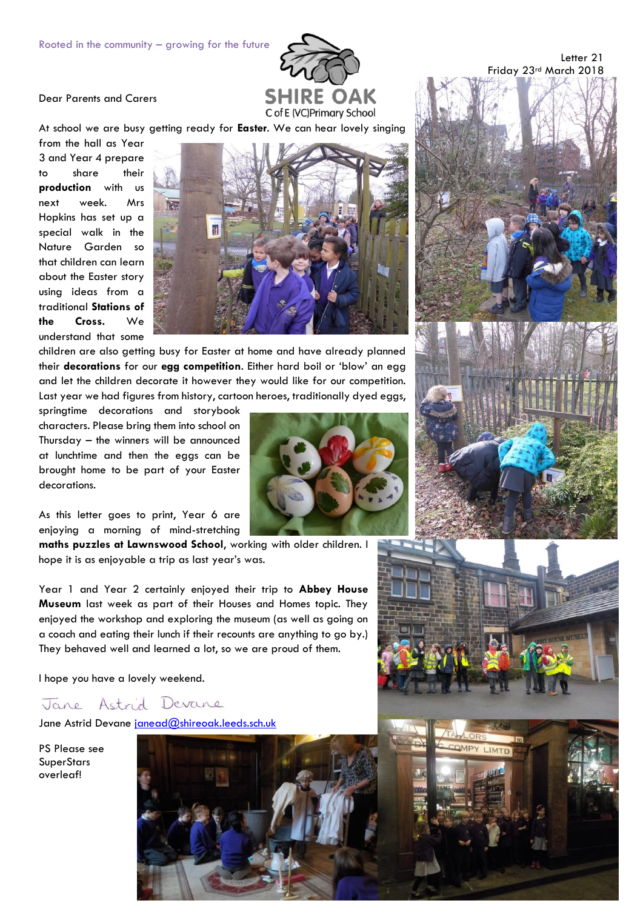## Dear Parents and Carers



At school we are busy getting ready for **Easter**. We can hear lovely singing

from the hall as Year 3 and Year 4 prepare to share their **production** with us next week. Mrs Hopkins has set up a special walk in the Nature Garden so that children can learn about the Easter story using ideas from a traditional **Stations of the Cross.** We understand that some



children are also getting busy for Easter at home and have already planned their **decorations** for our **egg competition**. Either hard boil or 'blow' an egg and let the children decorate it however they would like for our competition. Last year we had figures from history, cartoon heroes, traditionally dyed eggs,

springtime decorations and storybook characters. Please bring them into school on Thursday – the winners will be announced at lunchtime and then the eggs can be brought home to be part of your Easter decorations.

As this letter goes to print, Year 6 are enjoying a morning of mind-stretching

**maths puzzles at Lawnswood School**, working with older children. I hope it is as enjoyable a trip as last year's was.

Year 1 and Year 2 certainly enjoyed their trip to **Abbey House Museum** last week as part of their Houses and Homes topic. They enjoyed the workshop and exploring the museum (as well as going on a coach and eating their lunch if their recounts are anything to go by.) They behaved well and learned a lot, so we are proud of them.

I hope you have a lovely weekend.

## Jane Astrid Devane

Jane Astrid Devane [janead@shireoak.leeds.sch.uk](mailto:janead@shireoak.leeds.sch.uk)

PS Please see **SuperStars** overleaf!





Letter 21



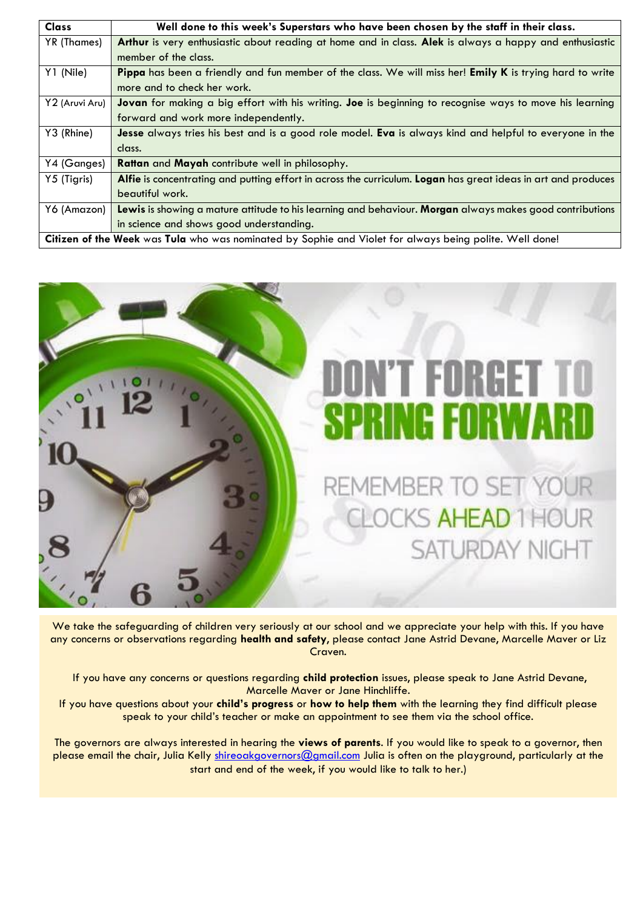| <b>Class</b>                                                                                            | Well done to this week's Superstars who have been chosen by the staff in their class.                         |  |
|---------------------------------------------------------------------------------------------------------|---------------------------------------------------------------------------------------------------------------|--|
| YR (Thames)                                                                                             | Arthur is very enthusiastic about reading at home and in class. Alek is always a happy and enthusiastic       |  |
|                                                                                                         | member of the class.                                                                                          |  |
| Y1 (Nile)                                                                                               | Pippa has been a friendly and fun member of the class. We will miss her! Emily K is trying hard to write      |  |
|                                                                                                         | more and to check her work.                                                                                   |  |
| Y2 (Aruvi Aru)                                                                                          | Jovan for making a big effort with his writing. Joe is beginning to recognise ways to move his learning       |  |
|                                                                                                         | forward and work more independently.                                                                          |  |
| Y3 (Rhine)                                                                                              | Jesse always tries his best and is a good role model. Eva is always kind and helpful to everyone in the       |  |
|                                                                                                         | class.                                                                                                        |  |
| Y4 (Ganges)                                                                                             | Rattan and Mayah contribute well in philosophy.                                                               |  |
| Y5 (Tigris)                                                                                             | Alfie is concentrating and putting effort in across the curriculum. Logan has great ideas in art and produces |  |
|                                                                                                         | beautiful work.                                                                                               |  |
| Y6 (Amazon)                                                                                             | Lewis is showing a mature attitude to his learning and behaviour. Morgan always makes good contributions      |  |
|                                                                                                         | in science and shows good understanding.                                                                      |  |
| Citizen of the Week was Tula who was nominated by Sophie and Violet for always being polite. Well done! |                                                                                                               |  |



We take the safeguarding of children very seriously at our school and we appreciate your help with this. If you have any concerns or observations regarding **health and safety**, please contact Jane Astrid Devane, Marcelle Maver or Liz Craven.

If you have any concerns or questions regarding **child protection** issues, please speak to Jane Astrid Devane, Marcelle Maver or Jane Hinchliffe.

If you have questions about your **child's progress** or **how to help them** with the learning they find difficult please speak to your child's teacher or make an appointment to see them via the school office.

The governors are always interested in hearing the **views of parents**. If you would like to speak to a governor, then please email the chair, Julia Kelly [shireoakgovernors@gmail.com](mailto:shireoakgovernors@gmail.com) Julia is often on the playground, particularly at the start and end of the week, if you would like to talk to her.)